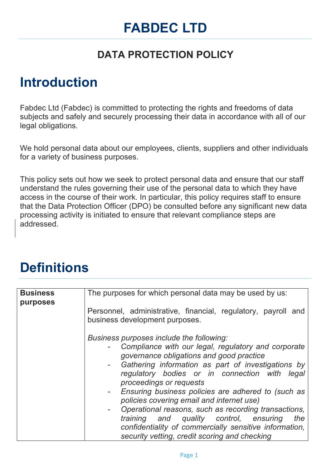# **FABDEC LTD**

### **DATA PROTECTION POLICY**

## **Introduction**

Fabdec Ltd (Fabdec) is committed to protecting the rights and freedoms of data subjects and safely and securely processing their data in accordance with all of our legal obligations.

We hold personal data about our employees, clients, suppliers and other individuals for a variety of business purposes.

This policy sets out how we seek to protect personal data and ensure that our staff understand the rules governing their use of the personal data to which they have access in the course of their work. In particular, this policy requires staff to ensure that the Data Protection Officer (DPO) be consulted before any significant new data processing activity is initiated to ensure that relevant compliance steps are addressed.

## **Definitions**

| <b>Business</b> | The purposes for which personal data may be used by us:                                                                                                                                                                                                                                                                                                                                                                                                                                                                                                                                                                     |
|-----------------|-----------------------------------------------------------------------------------------------------------------------------------------------------------------------------------------------------------------------------------------------------------------------------------------------------------------------------------------------------------------------------------------------------------------------------------------------------------------------------------------------------------------------------------------------------------------------------------------------------------------------------|
| purposes        | Personnel, administrative, financial, regulatory, payroll and<br>business development purposes.                                                                                                                                                                                                                                                                                                                                                                                                                                                                                                                             |
|                 | Business purposes include the following:<br>Compliance with our legal, regulatory and corporate<br>governance obligations and good practice<br>Gathering information as part of investigations by<br>$\sim$<br>regulatory bodies or in connection with<br>legal<br>proceedings or requests<br>- Ensuring business policies are adhered to (such as<br>policies covering email and internet use)<br>Operational reasons, such as recording transactions,<br>-<br>quality control, ensuring<br>training and<br>the<br>confidentiality of commercially sensitive information,<br>security vetting, credit scoring and checking |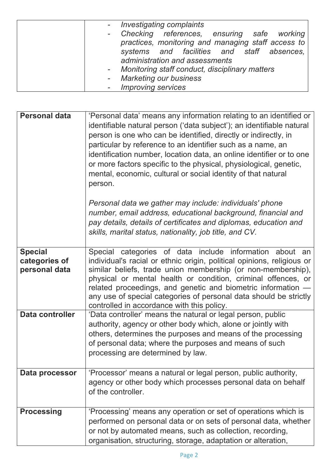| - Investigating complaints                         |
|----------------------------------------------------|
| - Checking references, ensuring safe working       |
| practices, monitoring and managing staff access to |
| systems and facilities and staff absences,         |
| administration and assessments                     |
| - Monitoring staff conduct, disciplinary matters   |
| - Marketing our business                           |
| - Improving services                               |

| <b>Personal data</b>                             | 'Personal data' means any information relating to an identified or<br>identifiable natural person ('data subject'); an identifiable natural<br>person is one who can be identified, directly or indirectly, in<br>particular by reference to an identifier such as a name, an<br>identification number, location data, an online identifier or to one<br>or more factors specific to the physical, physiological, genetic,<br>mental, economic, cultural or social identity of that natural<br>person. |
|--------------------------------------------------|--------------------------------------------------------------------------------------------------------------------------------------------------------------------------------------------------------------------------------------------------------------------------------------------------------------------------------------------------------------------------------------------------------------------------------------------------------------------------------------------------------|
|                                                  | Personal data we gather may include: individuals' phone<br>number, email address, educational background, financial and<br>pay details, details of certificates and diplomas, education and<br>skills, marital status, nationality, job title, and CV.                                                                                                                                                                                                                                                 |
| <b>Special</b><br>categories of<br>personal data | Special categories of data include information about an<br>individual's racial or ethnic origin, political opinions, religious or<br>similar beliefs, trade union membership (or non-membership),<br>physical or mental health or condition, criminal offences, or<br>related proceedings, and genetic and biometric information -<br>any use of special categories of personal data should be strictly<br>controlled in accordance with this policy.                                                  |
| <b>Data controller</b>                           | 'Data controller' means the natural or legal person, public<br>authority, agency or other body which, alone or jointly with<br>others, determines the purposes and means of the processing<br>of personal data; where the purposes and means of such<br>processing are determined by law.                                                                                                                                                                                                              |
| Data processor                                   | 'Processor' means a natural or legal person, public authority,<br>agency or other body which processes personal data on behalf<br>of the controller.                                                                                                                                                                                                                                                                                                                                                   |
| <b>Processing</b>                                | 'Processing' means any operation or set of operations which is<br>performed on personal data or on sets of personal data, whether<br>or not by automated means, such as collection, recording,<br>organisation, structuring, storage, adaptation or alteration,                                                                                                                                                                                                                                        |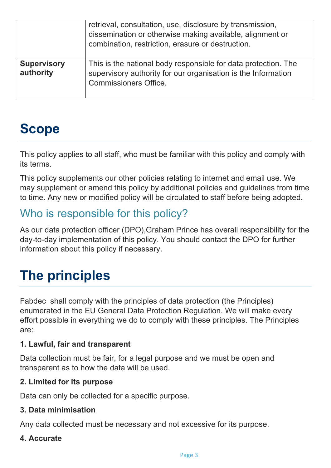|                                 | retrieval, consultation, use, disclosure by transmission,<br>dissemination or otherwise making available, alignment or<br>combination, restriction, erasure or destruction. |
|---------------------------------|-----------------------------------------------------------------------------------------------------------------------------------------------------------------------------|
| <b>Supervisory</b><br>authority | This is the national body responsible for data protection. The<br>supervisory authority for our organisation is the Information<br><b>Commissioners Office.</b>             |

# **Scope**

This policy applies to all staff, who must be familiar with this policy and comply with its terms.

This policy supplements our other policies relating to internet and email use. We may supplement or amend this policy by additional policies and guidelines from time to time. Any new or modified policy will be circulated to staff before being adopted.

## Who is responsible for this policy?

As our data protection officer (DPO),Graham Prince has overall responsibility for the day-to-day implementation of this policy. You should contact the DPO for further information about this policy if necessary.

# **The principles**

Fabdec shall comply with the principles of data protection (the Principles) enumerated in the EU General Data Protection Regulation. We will make every effort possible in everything we do to comply with these principles. The Principles are:

### **1. Lawful, fair and transparent**

Data collection must be fair, for a legal purpose and we must be open and transparent as to how the data will be used.

### **2. Limited for its purpose**

Data can only be collected for a specific purpose.

### **3. Data minimisation**

Any data collected must be necessary and not excessive for its purpose.

### **4. Accurate**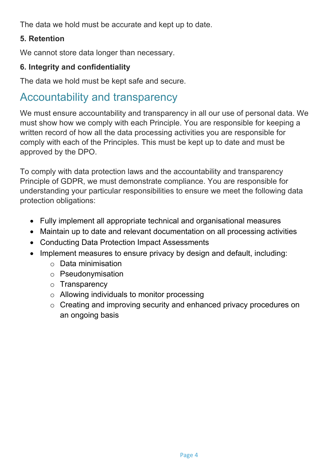The data we hold must be accurate and kept up to date.

### **5. Retention**

We cannot store data longer than necessary.

### **6. Integrity and confidentiality**

The data we hold must be kept safe and secure.

### Accountability and transparency

We must ensure accountability and transparency in all our use of personal data. We must show how we comply with each Principle. You are responsible for keeping a written record of how all the data processing activities you are responsible for comply with each of the Principles. This must be kept up to date and must be approved by the DPO.

To comply with data protection laws and the accountability and transparency Principle of GDPR, we must demonstrate compliance. You are responsible for understanding your particular responsibilities to ensure we meet the following data protection obligations:

- Fully implement all appropriate technical and organisational measures
- Maintain up to date and relevant documentation on all processing activities
- Conducting Data Protection Impact Assessments
- Implement measures to ensure privacy by design and default, including:
	- o Data minimisation
	- o Pseudonymisation
	- o Transparency
	- o Allowing individuals to monitor processing
	- o Creating and improving security and enhanced privacy procedures on an ongoing basis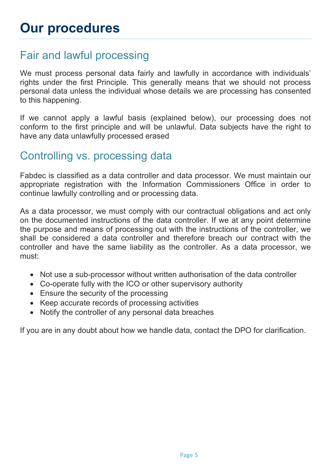### Fair and lawful processing

We must process personal data fairly and lawfully in accordance with individuals' rights under the first Principle. This generally means that we should not process personal data unless the individual whose details we are processing has consented to this happening.

If we cannot apply a lawful basis (explained below), our processing does not conform to the first principle and will be unlawful. Data subjects have the right to have any data unlawfully processed erased

### Controlling vs. processing data

Fabdec is classified as a data controller and data processor. We must maintain our appropriate registration with the Information Commissioners Office in order to continue lawfully controlling and or processing data.

As a data processor, we must comply with our contractual obligations and act only on the documented instructions of the data controller. If we at any point determine the purpose and means of processing out with the instructions of the controller, we shall be considered a data controller and therefore breach our contract with the controller and have the same liability as the controller. As a data processor, we must:

- Not use a sub-processor without written authorisation of the data controller
- Co-operate fully with the ICO or other supervisory authority
- Ensure the security of the processing
- Keep accurate records of processing activities
- Notify the controller of any personal data breaches

If you are in any doubt about how we handle data, contact the DPO for clarification.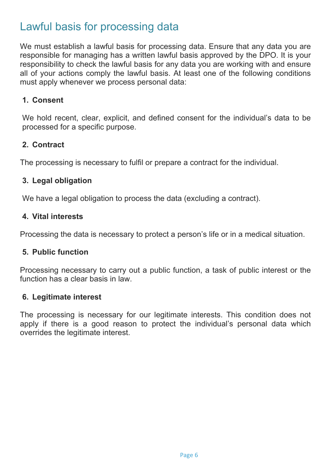### Lawful basis for processing data

We must establish a lawful basis for processing data. Ensure that any data you are responsible for managing has a written lawful basis approved by the DPO. It is your responsibility to check the lawful basis for any data you are working with and ensure all of your actions comply the lawful basis. At least one of the following conditions must apply whenever we process personal data:

#### **1. Consent**

We hold recent, clear, explicit, and defined consent for the individual's data to be processed for a specific purpose.

### **2. Contract**

The processing is necessary to fulfil or prepare a contract for the individual.

### **3. Legal obligation**

We have a legal obligation to process the data (excluding a contract).

### **4. Vital interests**

Processing the data is necessary to protect a person's life or in a medical situation.

### **5. Public function**

Processing necessary to carry out a public function, a task of public interest or the function has a clear basis in law.

### **6. Legitimate interest**

The processing is necessary for our legitimate interests. This condition does not apply if there is a good reason to protect the individual's personal data which overrides the legitimate interest.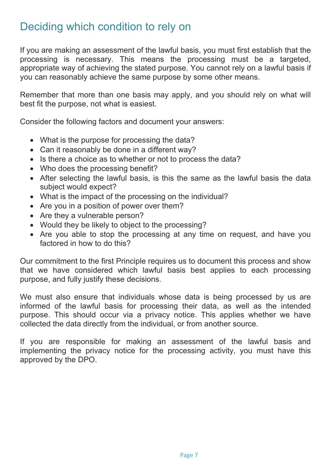### Deciding which condition to rely on

If you are making an assessment of the lawful basis, you must first establish that the processing is necessary. This means the processing must be a targeted, appropriate way of achieving the stated purpose. You cannot rely on a lawful basis if you can reasonably achieve the same purpose by some other means.

Remember that more than one basis may apply, and you should rely on what will best fit the purpose, not what is easiest.

Consider the following factors and document your answers:

- What is the purpose for processing the data?
- Can it reasonably be done in a different way?
- Is there a choice as to whether or not to process the data?
- Who does the processing benefit?
- After selecting the lawful basis, is this the same as the lawful basis the data subject would expect?
- What is the impact of the processing on the individual?
- Are you in a position of power over them?
- Are they a vulnerable person?
- Would they be likely to object to the processing?
- Are you able to stop the processing at any time on request, and have you factored in how to do this?

Our commitment to the first Principle requires us to document this process and show that we have considered which lawful basis best applies to each processing purpose, and fully justify these decisions.

We must also ensure that individuals whose data is being processed by us are informed of the lawful basis for processing their data, as well as the intended purpose. This should occur via a privacy notice. This applies whether we have collected the data directly from the individual, or from another source.

If you are responsible for making an assessment of the lawful basis and implementing the privacy notice for the processing activity, you must have this approved by the DPO.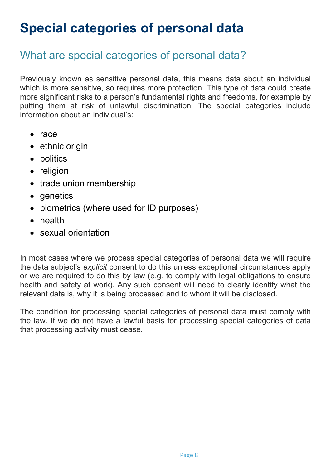## What are special categories of personal data?

Previously known as sensitive personal data, this means data about an individual which is more sensitive, so requires more protection. This type of data could create more significant risks to a person's fundamental rights and freedoms, for example by putting them at risk of unlawful discrimination. The special categories include information about an individual's:

- $\bullet$  race
- ethnic origin
- politics
- religion
- trade union membership
- genetics
- biometrics (where used for ID purposes)
- health
- sexual orientation

In most cases where we process special categories of personal data we will require the data subject's *explicit* consent to do this unless exceptional circumstances apply or we are required to do this by law (e.g. to comply with legal obligations to ensure health and safety at work). Any such consent will need to clearly identify what the relevant data is, why it is being processed and to whom it will be disclosed.

The condition for processing special categories of personal data must comply with the law. If we do not have a lawful basis for processing special categories of data that processing activity must cease.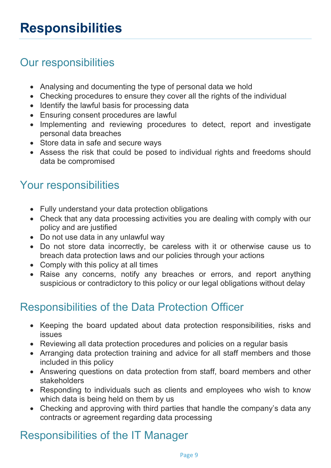## Our responsibilities

- Analysing and documenting the type of personal data we hold
- Checking procedures to ensure they cover all the rights of the individual
- Identify the lawful basis for processing data
- Ensuring consent procedures are lawful
- Implementing and reviewing procedures to detect, report and investigate personal data breaches
- Store data in safe and secure ways
- Assess the risk that could be posed to individual rights and freedoms should data be compromised

### Your responsibilities

- Fully understand your data protection obligations
- Check that any data processing activities you are dealing with comply with our policy and are justified
- Do not use data in any unlawful way
- Do not store data incorrectly, be careless with it or otherwise cause us to breach data protection laws and our policies through your actions
- Comply with this policy at all times
- Raise any concerns, notify any breaches or errors, and report anything suspicious or contradictory to this policy or our legal obligations without delay

## Responsibilities of the Data Protection Officer

- Keeping the board updated about data protection responsibilities, risks and issues
- Reviewing all data protection procedures and policies on a regular basis
- Arranging data protection training and advice for all staff members and those included in this policy
- Answering questions on data protection from staff, board members and other stakeholders
- Responding to individuals such as clients and employees who wish to know which data is being held on them by us
- Checking and approving with third parties that handle the company's data any contracts or agreement regarding data processing

## Responsibilities of the IT Manager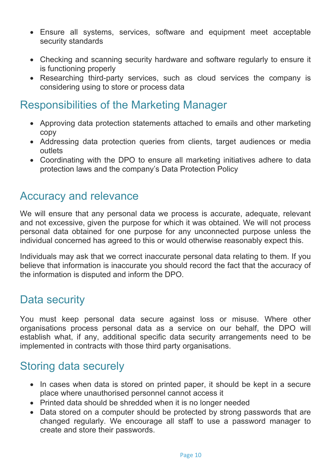- Ensure all systems, services, software and equipment meet acceptable security standards
- Checking and scanning security hardware and software regularly to ensure it is functioning properly
- Researching third-party services, such as cloud services the company is considering using to store or process data

### Responsibilities of the Marketing Manager

- Approving data protection statements attached to emails and other marketing copy
- Addressing data protection queries from clients, target audiences or media outlets
- Coordinating with the DPO to ensure all marketing initiatives adhere to data protection laws and the company's Data Protection Policy

### Accuracy and relevance

We will ensure that any personal data we process is accurate, adequate, relevant and not excessive, given the purpose for which it was obtained. We will not process personal data obtained for one purpose for any unconnected purpose unless the individual concerned has agreed to this or would otherwise reasonably expect this.

Individuals may ask that we correct inaccurate personal data relating to them. If you believe that information is inaccurate you should record the fact that the accuracy of the information is disputed and inform the DPO.

### Data security

You must keep personal data secure against loss or misuse. Where other organisations process personal data as a service on our behalf, the DPO will establish what, if any, additional specific data security arrangements need to be implemented in contracts with those third party organisations.

## Storing data securely

- In cases when data is stored on printed paper, it should be kept in a secure place where unauthorised personnel cannot access it
- Printed data should be shredded when it is no longer needed
- Data stored on a computer should be protected by strong passwords that are changed regularly. We encourage all staff to use a password manager to create and store their passwords.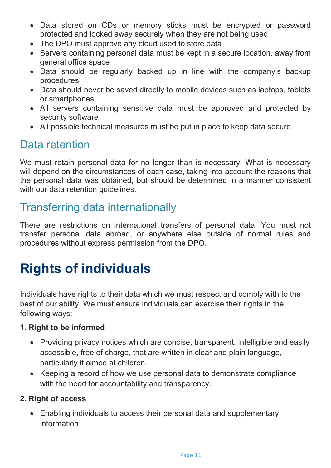- Data stored on CDs or memory sticks must be encrypted or password protected and locked away securely when they are not being used
- The DPO must approve any cloud used to store data
- Servers containing personal data must be kept in a secure location, away from general office space
- Data should be regularly backed up in line with the company's backup procedures
- Data should never be saved directly to mobile devices such as laptops, tablets or smartphones
- All servers containing sensitive data must be approved and protected by security software
- All possible technical measures must be put in place to keep data secure

## Data retention

We must retain personal data for no longer than is necessary. What is necessary will depend on the circumstances of each case, taking into account the reasons that the personal data was obtained, but should be determined in a manner consistent with our data retention quidelines.

## Transferring data internationally

There are restrictions on international transfers of personal data. You must not transfer personal data abroad, or anywhere else outside of normal rules and procedures without express permission from the DPO.

# **Rights of individuals**

Individuals have rights to their data which we must respect and comply with to the best of our ability. We must ensure individuals can exercise their rights in the following ways:

### **1. Right to be informed**

- Providing privacy notices which are concise, transparent, intelligible and easily accessible, free of charge, that are written in clear and plain language, particularly if aimed at children.
- Keeping a record of how we use personal data to demonstrate compliance with the need for accountability and transparency.

### **2. Right of access**

 Enabling individuals to access their personal data and supplementary information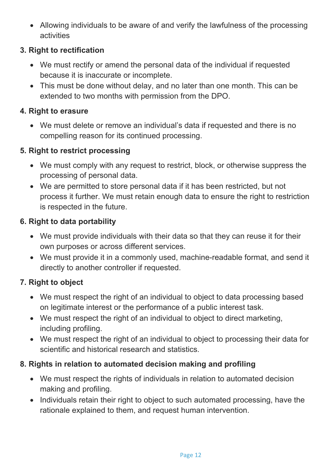Allowing individuals to be aware of and verify the lawfulness of the processing activities

### **3. Right to rectification**

- We must rectify or amend the personal data of the individual if requested because it is inaccurate or incomplete.
- This must be done without delay, and no later than one month. This can be extended to two months with permission from the DPO.

### **4. Right to erasure**

 We must delete or remove an individual's data if requested and there is no compelling reason for its continued processing.

### **5. Right to restrict processing**

- We must comply with any request to restrict, block, or otherwise suppress the processing of personal data.
- We are permitted to store personal data if it has been restricted, but not process it further. We must retain enough data to ensure the right to restriction is respected in the future.

### **6. Right to data portability**

- We must provide individuals with their data so that they can reuse it for their own purposes or across different services.
- We must provide it in a commonly used, machine-readable format, and send it directly to another controller if requested.

### **7. Right to object**

- We must respect the right of an individual to object to data processing based on legitimate interest or the performance of a public interest task.
- We must respect the right of an individual to object to direct marketing, including profiling.
- We must respect the right of an individual to object to processing their data for scientific and historical research and statistics.

### **8. Rights in relation to automated decision making and profiling**

- We must respect the rights of individuals in relation to automated decision making and profiling.
- Individuals retain their right to object to such automated processing, have the rationale explained to them, and request human intervention.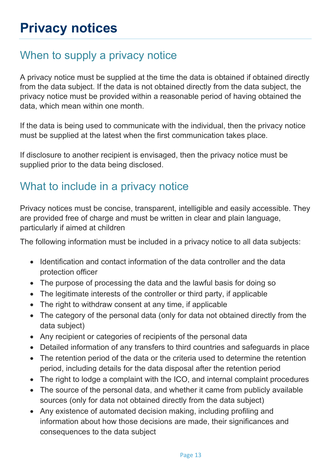## When to supply a privacy notice

A privacy notice must be supplied at the time the data is obtained if obtained directly from the data subject. If the data is not obtained directly from the data subject, the privacy notice must be provided within a reasonable period of having obtained the data, which mean within one month.

If the data is being used to communicate with the individual, then the privacy notice must be supplied at the latest when the first communication takes place.

If disclosure to another recipient is envisaged, then the privacy notice must be supplied prior to the data being disclosed.

## What to include in a privacy notice

Privacy notices must be concise, transparent, intelligible and easily accessible. They are provided free of charge and must be written in clear and plain language, particularly if aimed at children

The following information must be included in a privacy notice to all data subjects:

- Identification and contact information of the data controller and the data protection officer
- The purpose of processing the data and the lawful basis for doing so
- The legitimate interests of the controller or third party, if applicable
- The right to withdraw consent at any time, if applicable
- The category of the personal data (only for data not obtained directly from the data subject)
- Any recipient or categories of recipients of the personal data
- Detailed information of any transfers to third countries and safeguards in place
- The retention period of the data or the criteria used to determine the retention period, including details for the data disposal after the retention period
- The right to lodge a complaint with the ICO, and internal complaint procedures
- The source of the personal data, and whether it came from publicly available sources (only for data not obtained directly from the data subject)
- Any existence of automated decision making, including profiling and information about how those decisions are made, their significances and consequences to the data subject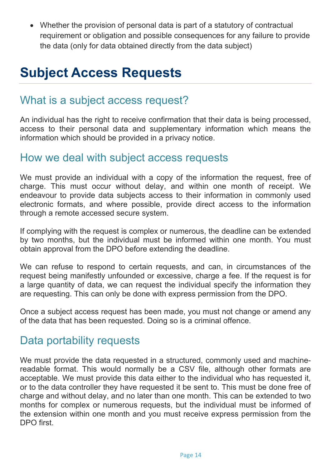Whether the provision of personal data is part of a statutory of contractual requirement or obligation and possible consequences for any failure to provide the data (only for data obtained directly from the data subject)

## **Subject Access Requests**

### What is a subject access request?

An individual has the right to receive confirmation that their data is being processed, access to their personal data and supplementary information which means the information which should be provided in a privacy notice.

### How we deal with subject access requests

We must provide an individual with a copy of the information the request, free of charge. This must occur without delay, and within one month of receipt. We endeavour to provide data subjects access to their information in commonly used electronic formats, and where possible, provide direct access to the information through a remote accessed secure system.

If complying with the request is complex or numerous, the deadline can be extended by two months, but the individual must be informed within one month. You must obtain approval from the DPO before extending the deadline.

We can refuse to respond to certain requests, and can, in circumstances of the request being manifestly unfounded or excessive, charge a fee. If the request is for a large quantity of data, we can request the individual specify the information they are requesting. This can only be done with express permission from the DPO.

Once a subject access request has been made, you must not change or amend any of the data that has been requested. Doing so is a criminal offence.

### Data portability requests

We must provide the data requested in a structured, commonly used and machinereadable format. This would normally be a CSV file, although other formats are acceptable. We must provide this data either to the individual who has requested it, or to the data controller they have requested it be sent to. This must be done free of charge and without delay, and no later than one month. This can be extended to two months for complex or numerous requests, but the individual must be informed of the extension within one month and you must receive express permission from the DPO first.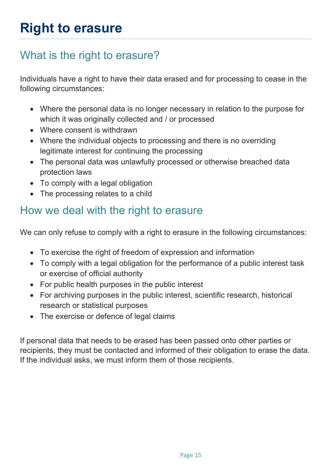## What is the right to erasure?

Individuals have a right to have their data erased and for processing to cease in the following circumstances:

- Where the personal data is no longer necessary in relation to the purpose for which it was originally collected and / or processed
- Where consent is withdrawn
- Where the individual objects to processing and there is no overriding legitimate interest for continuing the processing
- The personal data was unlawfully processed or otherwise breached data protection laws
- To comply with a legal obligation
- The processing relates to a child

## How we deal with the right to erasure

We can only refuse to comply with a right to erasure in the following circumstances:

- To exercise the right of freedom of expression and information
- To comply with a legal obligation for the performance of a public interest task or exercise of official authority
- For public health purposes in the public interest
- For archiving purposes in the public interest, scientific research, historical research or statistical purposes
- The exercise or defence of legal claims

If personal data that needs to be erased has been passed onto other parties or recipients, they must be contacted and informed of their obligation to erase the data. If the individual asks, we must inform them of those recipients.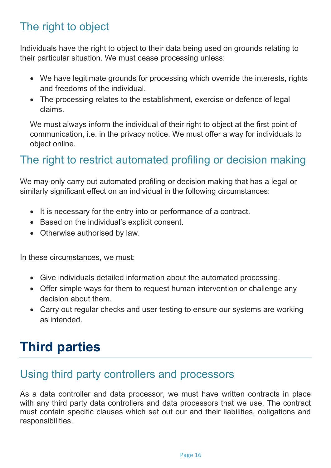## The right to object

Individuals have the right to object to their data being used on grounds relating to their particular situation. We must cease processing unless:

- We have legitimate grounds for processing which override the interests, rights and freedoms of the individual.
- The processing relates to the establishment, exercise or defence of legal claims.

We must always inform the individual of their right to object at the first point of communication, i.e. in the privacy notice. We must offer a way for individuals to object online.

## The right to restrict automated profiling or decision making

We may only carry out automated profiling or decision making that has a legal or similarly significant effect on an individual in the following circumstances:

- It is necessary for the entry into or performance of a contract.
- Based on the individual's explicit consent.
- Otherwise authorised by law.

In these circumstances, we must:

- Give individuals detailed information about the automated processing.
- Offer simple ways for them to request human intervention or challenge any decision about them.
- Carry out regular checks and user testing to ensure our systems are working as intended.

# **Third parties**

### Using third party controllers and processors

As a data controller and data processor, we must have written contracts in place with any third party data controllers and data processors that we use. The contract must contain specific clauses which set out our and their liabilities, obligations and responsibilities.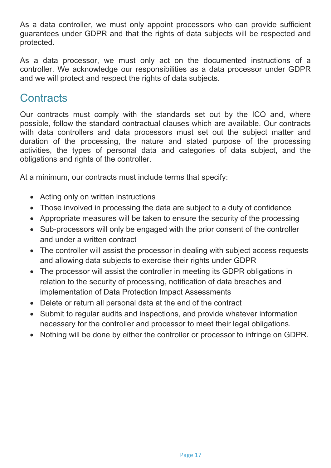As a data controller, we must only appoint processors who can provide sufficient guarantees under GDPR and that the rights of data subjects will be respected and protected.

As a data processor, we must only act on the documented instructions of a controller. We acknowledge our responsibilities as a data processor under GDPR and we will protect and respect the rights of data subjects.

### **Contracts**

Our contracts must comply with the standards set out by the ICO and, where possible, follow the standard contractual clauses which are available. Our contracts with data controllers and data processors must set out the subject matter and duration of the processing, the nature and stated purpose of the processing activities, the types of personal data and categories of data subject, and the obligations and rights of the controller.

At a minimum, our contracts must include terms that specify:

- Acting only on written instructions
- Those involved in processing the data are subject to a duty of confidence
- Appropriate measures will be taken to ensure the security of the processing
- Sub-processors will only be engaged with the prior consent of the controller and under a written contract
- The controller will assist the processor in dealing with subject access requests and allowing data subjects to exercise their rights under GDPR
- The processor will assist the controller in meeting its GDPR obligations in relation to the security of processing, notification of data breaches and implementation of Data Protection Impact Assessments
- Delete or return all personal data at the end of the contract
- Submit to regular audits and inspections, and provide whatever information necessary for the controller and processor to meet their legal obligations.
- Nothing will be done by either the controller or processor to infringe on GDPR.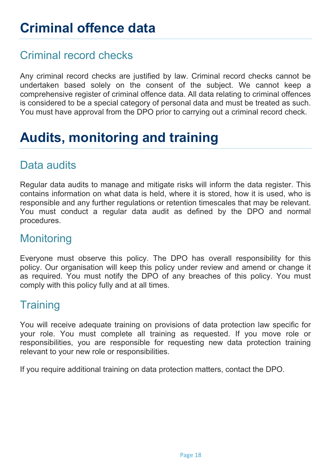## Criminal record checks

Any criminal record checks are justified by law. Criminal record checks cannot be undertaken based solely on the consent of the subject. We cannot keep a comprehensive register of criminal offence data. All data relating to criminal offences is considered to be a special category of personal data and must be treated as such. You must have approval from the DPO prior to carrying out a criminal record check.

# **Audits, monitoring and training**

## Data audits

Regular data audits to manage and mitigate risks will inform the data register. This contains information on what data is held, where it is stored, how it is used, who is responsible and any further regulations or retention timescales that may be relevant. You must conduct a regular data audit as defined by the DPO and normal procedures.

### **Monitoring**

Everyone must observe this policy. The DPO has overall responsibility for this policy. Our organisation will keep this policy under review and amend or change it as required. You must notify the DPO of any breaches of this policy. You must comply with this policy fully and at all times.

### **Training**

You will receive adequate training on provisions of data protection law specific for your role. You must complete all training as requested. If you move role or responsibilities, you are responsible for requesting new data protection training relevant to your new role or responsibilities.

If you require additional training on data protection matters, contact the DPO.